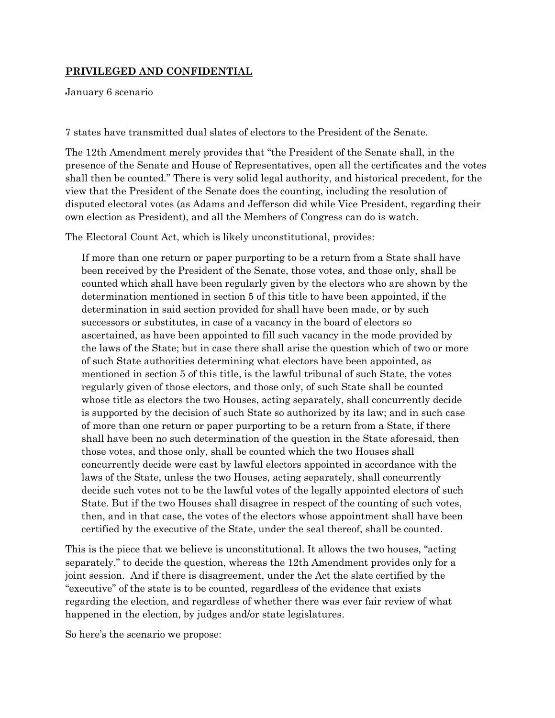## **PRIVILEGED AND CONFIDENTIAL**

January 6 scenario

7 states have transmitted dual slates of electors to the President of the Senate.

The 12th Amendment merely provides that "the President of the Senate shall, in the presence of the Senate and House of Representatives, open all the certificates and the votes shall then be counted." There is very solid legal authority, and historical precedent, for the view that the President of the Senate does the counting, including the resolution of disputed electoral votes (as Adams and Jefferson did while Vice President, regarding their own election as President), and all the Members of Congress can do is watch.

The Electoral Count Act, which is likely unconstitutional, provides:

If more than one return or paper purporting to be a return from a State shall have been received by the President of the Senate, those votes, and those only, shall be counted which shall have been regularly given by the electors who are shown by the determination mentioned in section 5 of this title to have been appointed, if the determination in said section provided for shall have been made, or by such successors or substitutes, in case of a vacancy in the board of electors so ascertained, as have been appointed to fill such vacancy in the mode provided by the laws of the State; but in case there shall arise the question which of two or more of such State authorities determining what electors have been appointed, as mentioned in section 5 of this title, is the lawful tribunal of such State, the votes regularly given of those electors, and those only, of such State shall be counted whose title as electors the two Houses, acting separately, shall concurrently decide is supported by the decision of such State so authorized by its law; and in such case of more than one return or paper purporting to be a return from a State, if there shall have been no such determination of the question in the State aforesaid, then those votes, and those only, shall be counted which the two Houses shall concurrently decide were cast by lawful electors appointed in accordance with the laws of the State, unless the two Houses, acting separately, shall concurrently decide such votes not to be the lawful votes of the legally appointed electors of such State. But if the two Houses shall disagree in respect of the counting of such votes, then, and in that case, the votes of the electors whose appointment shall have been certified by the executive of the State, under the seal thereof, shall be counted.

This is the piece that we believe is unconstitutional. It allows the two houses, "acting separately," to decide the question, whereas the 12th Amendment provides only for a joint session. And if there is disagreement, under the Act the slate certified by the "executive" of the state is to be counted, regardless of the evidence that exists regarding the election, and regardless of whether there was ever fair review of what happened in the election, by judges and/or state legislatures.

So here's the scenario we propose: